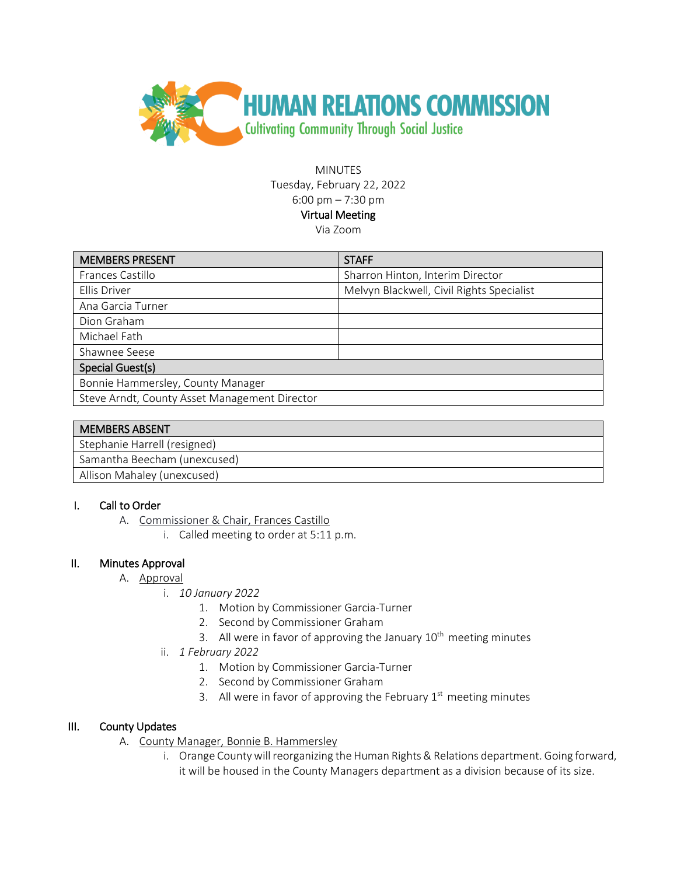

MINUTES Tuesday, February 22, 2022 6:00 pm – 7:30 pm Virtual Meeting Via Zoom

| <b>MEMBERS PRESENT</b>                        | <b>STAFF</b>                              |
|-----------------------------------------------|-------------------------------------------|
| Frances Castillo                              | Sharron Hinton, Interim Director          |
| Ellis Driver                                  | Melvyn Blackwell, Civil Rights Specialist |
| Ana Garcia Turner                             |                                           |
| Dion Graham                                   |                                           |
| Michael Fath                                  |                                           |
| Shawnee Seese                                 |                                           |
| Special Guest(s)                              |                                           |
| Bonnie Hammersley, County Manager             |                                           |
| Steve Arndt, County Asset Management Director |                                           |

| <b>MEMBERS ABSENT</b>        |
|------------------------------|
| Stephanie Harrell (resigned) |
| Samantha Beecham (unexcused) |
| Allison Mahaley (unexcused)  |

### I. Call to Order

- A. Commissioner & Chair, Frances Castillo
	- i. Called meeting to order at 5:11 p.m.

### II. Minutes Approval

- A. Approval
	- i. *10 January 2022*
		- 1. Motion by Commissioner Garcia-Turner
		- 2. Second by Commissioner Graham
		- 3. All were in favor of approving the January  $10<sup>th</sup>$  meeting minutes
	- ii. *1 February 2022*
		- 1. Motion by Commissioner Garcia-Turner
		- 2. Second by Commissioner Graham
		- 3. All were in favor of approving the February  $1<sup>st</sup>$  meeting minutes

### III. County Updates

- A. County Manager, Bonnie B. Hammersley
	- i. Orange County will reorganizing the Human Rights & Relations department. Going forward, it will be housed in the County Managers department as a division because of its size.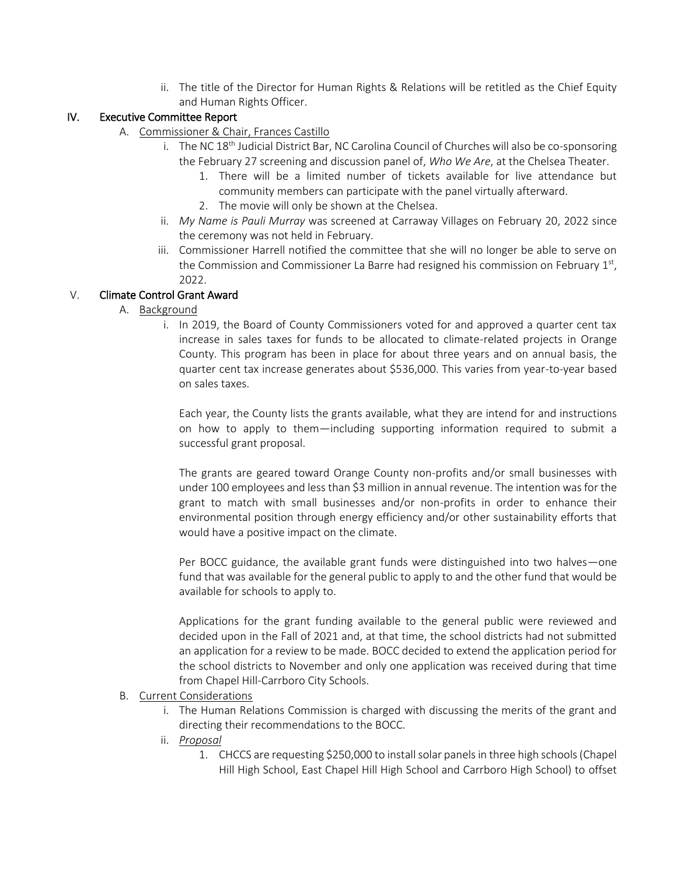ii. The title of the Director for Human Rights & Relations will be retitled as the Chief Equity and Human Rights Officer.

## IV. Executive Committee Report

- A. Commissioner & Chair, Frances Castillo
	- i. The NC  $18<sup>th</sup>$  Judicial District Bar, NC Carolina Council of Churches will also be co-sponsoring the February 27 screening and discussion panel of, *Who We Are*, at the Chelsea Theater.
		- 1. There will be a limited number of tickets available for live attendance but community members can participate with the panel virtually afterward.
		- 2. The movie will only be shown at the Chelsea.
	- ii. *My Name is Pauli Murray* was screened at Carraway Villages on February 20, 2022 since the ceremony was not held in February.
	- iii. Commissioner Harrell notified the committee that she will no longer be able to serve on the Commission and Commissioner La Barre had resigned his commission on February  $1<sup>st</sup>$ , 2022.

# V. Climate Control Grant Award

### A. Background

i. In 2019, the Board of County Commissioners voted for and approved a quarter cent tax increase in sales taxes for funds to be allocated to climate-related projects in Orange County. This program has been in place for about three years and on annual basis, the quarter cent tax increase generates about \$536,000. This varies from year-to-year based on sales taxes.

Each year, the County lists the grants available, what they are intend for and instructions on how to apply to them—including supporting information required to submit a successful grant proposal.

The grants are geared toward Orange County non-profits and/or small businesses with under 100 employees and less than \$3 million in annual revenue. The intention was for the grant to match with small businesses and/or non-profits in order to enhance their environmental position through energy efficiency and/or other sustainability efforts that would have a positive impact on the climate.

Per BOCC guidance, the available grant funds were distinguished into two halves—one fund that was available for the general public to apply to and the other fund that would be available for schools to apply to.

Applications for the grant funding available to the general public were reviewed and decided upon in the Fall of 2021 and, at that time, the school districts had not submitted an application for a review to be made. BOCC decided to extend the application period for the school districts to November and only one application was received during that time from Chapel Hill-Carrboro City Schools.

### B. Current Considerations

- i. The Human Relations Commission is charged with discussing the merits of the grant and directing their recommendations to the BOCC.
- ii. *Proposal*
	- 1. CHCCS are requesting \$250,000 to install solar panels in three high schools (Chapel Hill High School, East Chapel Hill High School and Carrboro High School) to offset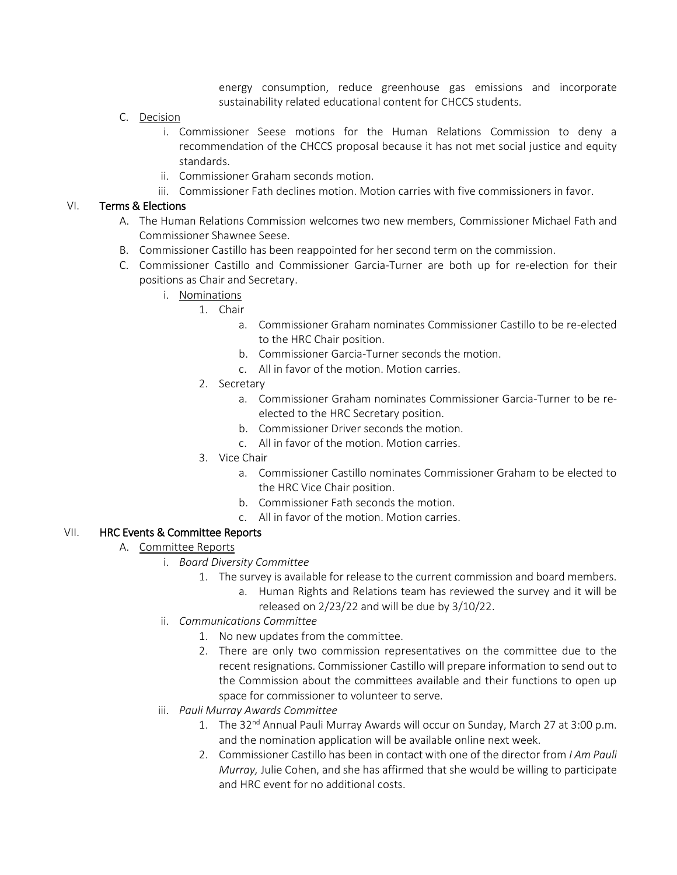energy consumption, reduce greenhouse gas emissions and incorporate sustainability related educational content for CHCCS students.

- C. Decision
	- i. Commissioner Seese motions for the Human Relations Commission to deny a recommendation of the CHCCS proposal because it has not met social justice and equity standards.
	- ii. Commissioner Graham seconds motion.
	- iii. Commissioner Fath declines motion. Motion carries with five commissioners in favor.

### VI. Terms & Elections

- A. The Human Relations Commission welcomes two new members, Commissioner Michael Fath and Commissioner Shawnee Seese.
- B. Commissioner Castillo has been reappointed for her second term on the commission.
- C. Commissioner Castillo and Commissioner Garcia-Turner are both up for re-election for their positions as Chair and Secretary.
	- i. Nominations
		- 1. Chair
			- a. Commissioner Graham nominates Commissioner Castillo to be re-elected to the HRC Chair position.
			- b. Commissioner Garcia-Turner seconds the motion.
			- c. All in favor of the motion. Motion carries.
			- 2. Secretary
				- a. Commissioner Graham nominates Commissioner Garcia-Turner to be reelected to the HRC Secretary position.
				- b. Commissioner Driver seconds the motion.
				- c. All in favor of the motion. Motion carries.
		- 3. Vice Chair
			- a. Commissioner Castillo nominates Commissioner Graham to be elected to the HRC Vice Chair position.
			- b. Commissioner Fath seconds the motion.
			- c. All in favor of the motion. Motion carries.

### VII. HRC Events & Committee Reports

- A. Committee Reports
	- i. *Board Diversity Committee*
		- 1. The survey is available for release to the current commission and board members.
			- a. Human Rights and Relations team has reviewed the survey and it will be released on 2/23/22 and will be due by 3/10/22.
	- ii. *Communications Committee*
		- 1. No new updates from the committee.
		- 2. There are only two commission representatives on the committee due to the recent resignations. Commissioner Castillo will prepare information to send out to the Commission about the committees available and their functions to open up space for commissioner to volunteer to serve.
	- iii. *Pauli Murray Awards Committee*
		- 1. The 32<sup>nd</sup> Annual Pauli Murray Awards will occur on Sunday, March 27 at 3:00 p.m. and the nomination application will be available online next week.
		- 2. Commissioner Castillo has been in contact with one of the director from *I Am Pauli Murray,* Julie Cohen, and she has affirmed that she would be willing to participate and HRC event for no additional costs.